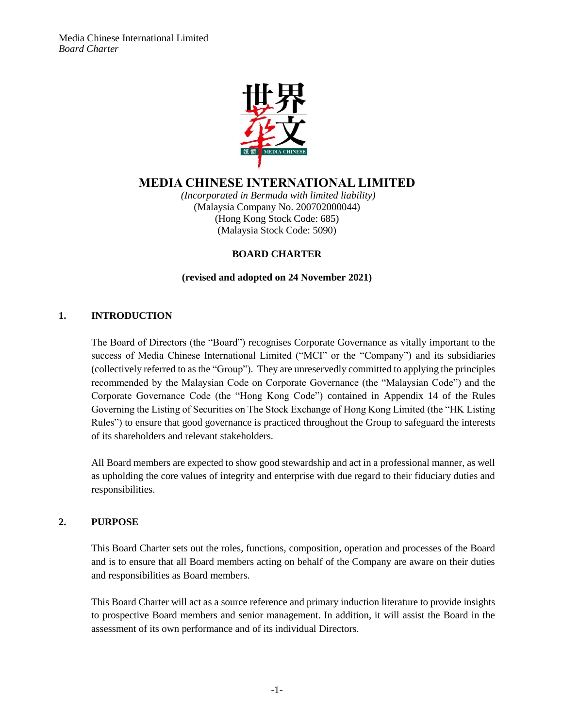

# **MEDIA CHINESE INTERNATIONAL LIMITED**

*(Incorporated in Bermuda with limited liability)* (Malaysia Company No. 200702000044) (Hong Kong Stock Code: 685) (Malaysia Stock Code: 5090)

# **BOARD CHARTER**

**(revised and adopted on 24 November 2021)**

# **1. INTRODUCTION**

The Board of Directors (the "Board") recognises Corporate Governance as vitally important to the success of Media Chinese International Limited ("MCI" or the "Company") and its subsidiaries (collectively referred to as the "Group"). They are unreservedly committed to applying the principles recommended by the Malaysian Code on Corporate Governance (the "Malaysian Code") and the Corporate Governance Code (the "Hong Kong Code") contained in Appendix 14 of the Rules Governing the Listing of Securities on The Stock Exchange of Hong Kong Limited (the "HK Listing Rules") to ensure that good governance is practiced throughout the Group to safeguard the interests of its shareholders and relevant stakeholders.

All Board members are expected to show good stewardship and act in a professional manner, as well as upholding the core values of integrity and enterprise with due regard to their fiduciary duties and responsibilities.

# **2. PURPOSE**

This Board Charter sets out the roles, functions, composition, operation and processes of the Board and is to ensure that all Board members acting on behalf of the Company are aware on their duties and responsibilities as Board members.

This Board Charter will act as a source reference and primary induction literature to provide insights to prospective Board members and senior management. In addition, it will assist the Board in the assessment of its own performance and of its individual Directors.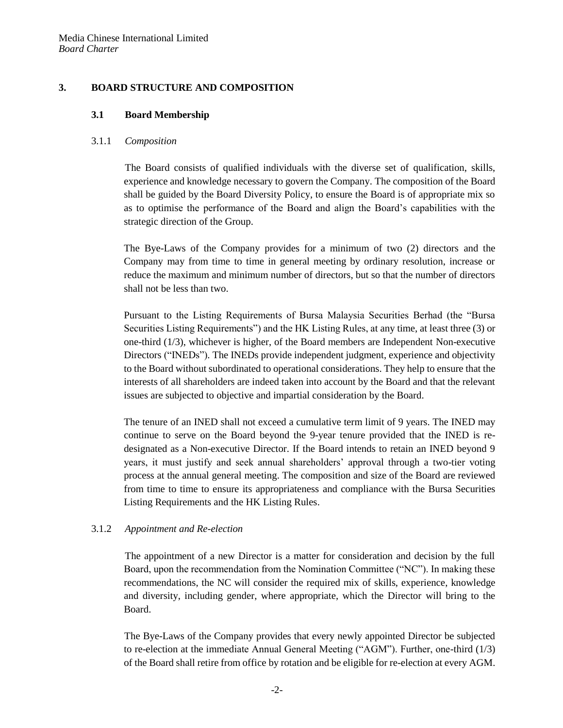# **3. BOARD STRUCTURE AND COMPOSITION**

#### **3.1 Board Membership**

#### 3.1.1 *Composition*

The Board consists of qualified individuals with the diverse set of qualification, skills, experience and knowledge necessary to govern the Company. The composition of the Board shall be guided by the Board Diversity Policy, to ensure the Board is of appropriate mix so as to optimise the performance of the Board and align the Board's capabilities with the strategic direction of the Group.

The Bye-Laws of the Company provides for a minimum of two (2) directors and the Company may from time to time in general meeting by ordinary resolution, increase or reduce the maximum and minimum number of directors, but so that the number of directors shall not be less than two.

Pursuant to the Listing Requirements of Bursa Malaysia Securities Berhad (the "Bursa Securities Listing Requirements") and the HK Listing Rules, at any time, at least three (3) or one-third (1/3), whichever is higher, of the Board members are Independent Non-executive Directors ("INEDs")*.* The INEDs provide independent judgment, experience and objectivity to the Board without subordinated to operational considerations. They help to ensure that the interests of all shareholders are indeed taken into account by the Board and that the relevant issues are subjected to objective and impartial consideration by the Board.

The tenure of an INED shall not exceed a cumulative term limit of 9 years. The INED may continue to serve on the Board beyond the 9-year tenure provided that the INED is redesignated as a Non-executive Director. If the Board intends to retain an INED beyond 9 years, it must justify and seek annual shareholders' approval through a two-tier voting process at the annual general meeting. The composition and size of the Board are reviewed from time to time to ensure its appropriateness and compliance with the Bursa Securities Listing Requirements and the HK Listing Rules.

# 3.1.2 *Appointment and Re-election*

The appointment of a new Director is a matter for consideration and decision by the full Board, upon the recommendation from the Nomination Committee ("NC"). In making these recommendations, the NC will consider the required mix of skills, experience, knowledge and diversity, including gender, where appropriate, which the Director will bring to the Board.

The Bye-Laws of the Company provides that every newly appointed Director be subjected to re-election at the immediate Annual General Meeting ("AGM"). Further, one-third (1/3) of the Board shall retire from office by rotation and be eligible for re-election at every AGM.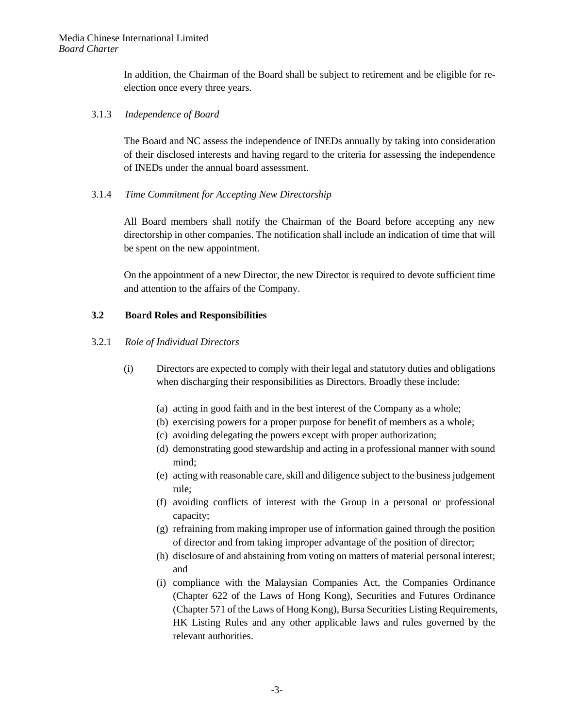In addition, the Chairman of the Board shall be subject to retirement and be eligible for reelection once every three years.

#### 3.1.3 *Independence of Board*

The Board and NC assess the independence of INEDs annually by taking into consideration of their disclosed interests and having regard to the criteria for assessing the independence of INEDs under the annual board assessment.

#### 3.1.4 *Time Commitment for Accepting New Directorship*

All Board members shall notify the Chairman of the Board before accepting any new directorship in other companies. The notification shall include an indication of time that will be spent on the new appointment.

On the appointment of a new Director, the new Director is required to devote sufficient time and attention to the affairs of the Company.

#### **3.2 Board Roles and Responsibilities**

#### 3.2.1 *Role of Individual Directors*

- (i) Directors are expected to comply with their legal and statutory duties and obligations when discharging their responsibilities as Directors. Broadly these include:
	- (a) acting in good faith and in the best interest of the Company as a whole;
	- (b) exercising powers for a proper purpose for benefit of members as a whole;
	- (c) avoiding delegating the powers except with proper authorization;
	- (d) demonstrating good stewardship and acting in a professional manner with sound mind;
	- (e) acting with reasonable care, skill and diligence subject to the business judgement rule;
	- (f) avoiding conflicts of interest with the Group in a personal or professional capacity;
	- (g) refraining from making improper use of information gained through the position of director and from taking improper advantage of the position of director;
	- (h) disclosure of and abstaining from voting on matters of material personal interest; and
	- (i) compliance with the Malaysian Companies Act, the Companies Ordinance (Chapter 622 of the Laws of Hong Kong), Securities and Futures Ordinance (Chapter 571 of the Laws of Hong Kong), Bursa Securities Listing Requirements, HK Listing Rules and any other applicable laws and rules governed by the relevant authorities.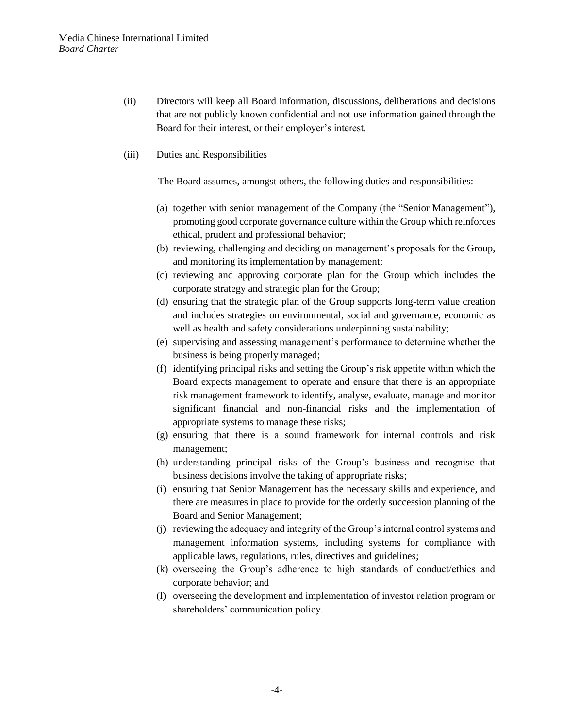- (ii) Directors will keep all Board information, discussions, deliberations and decisions that are not publicly known confidential and not use information gained through the Board for their interest, or their employer's interest.
- (iii) Duties and Responsibilities

The Board assumes, amongst others, the following duties and responsibilities:

- (a) together with senior management of the Company (the "Senior Management"), promoting good corporate governance culture within the Group which reinforces ethical, prudent and professional behavior;
- (b) reviewing, challenging and deciding on management's proposals for the Group, and monitoring its implementation by management;
- (c) reviewing and approving corporate plan for the Group which includes the corporate strategy and strategic plan for the Group;
- (d) ensuring that the strategic plan of the Group supports long-term value creation and includes strategies on environmental, social and governance, economic as well as health and safety considerations underpinning sustainability;
- (e) supervising and assessing management's performance to determine whether the business is being properly managed;
- (f) identifying principal risks and setting the Group's risk appetite within which the Board expects management to operate and ensure that there is an appropriate risk management framework to identify, analyse, evaluate, manage and monitor significant financial and non-financial risks and the implementation of appropriate systems to manage these risks;
- (g) ensuring that there is a sound framework for internal controls and risk management;
- (h) understanding principal risks of the Group's business and recognise that business decisions involve the taking of appropriate risks;
- (i) ensuring that Senior Management has the necessary skills and experience, and there are measures in place to provide for the orderly succession planning of the Board and Senior Management;
- (j) reviewing the adequacy and integrity of the Group's internal control systems and management information systems, including systems for compliance with applicable laws, regulations, rules, directives and guidelines;
- (k) overseeing the Group's adherence to high standards of conduct/ethics and corporate behavior; and
- (l) overseeing the development and implementation of investor relation program or shareholders' communication policy.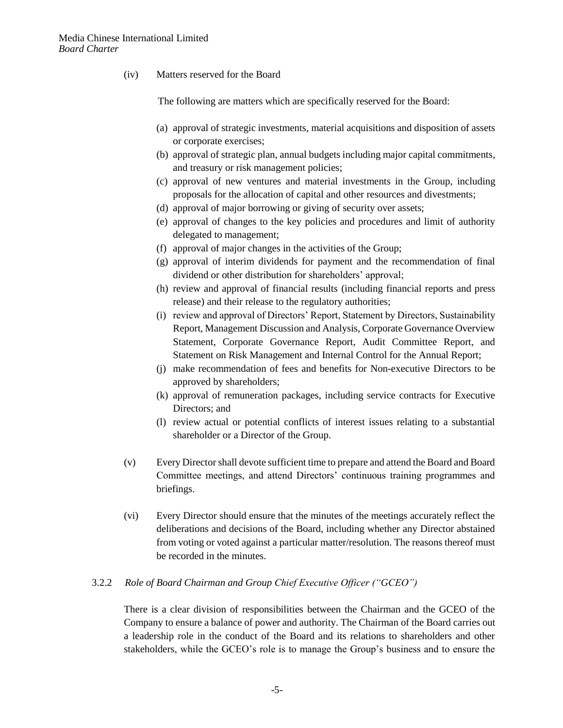(iv) Matters reserved for the Board

The following are matters which are specifically reserved for the Board:

- (a) approval of strategic investments, material acquisitions and disposition of assets or corporate exercises;
- (b) approval of strategic plan, annual budgets including major capital commitments, and treasury or risk management policies;
- (c) approval of new ventures and material investments in the Group, including proposals for the allocation of capital and other resources and divestments;
- (d) approval of major borrowing or giving of security over assets;
- (e) approval of changes to the key policies and procedures and limit of authority delegated to management;
- (f) approval of major changes in the activities of the Group;
- (g) approval of interim dividends for payment and the recommendation of final dividend or other distribution for shareholders' approval;
- (h) review and approval of financial results (including financial reports and press release) and their release to the regulatory authorities;
- (i) review and approval of Directors' Report, Statement by Directors, Sustainability Report, Management Discussion and Analysis, Corporate Governance Overview Statement, Corporate Governance Report, Audit Committee Report, and Statement on Risk Management and Internal Control for the Annual Report;
- (j) make recommendation of fees and benefits for Non-executive Directors to be approved by shareholders;
- (k) approval of remuneration packages, including service contracts for Executive Directors; and
- (l) review actual or potential conflicts of interest issues relating to a substantial shareholder or a Director of the Group.
- (v) Every Director shall devote sufficient time to prepare and attend the Board and Board Committee meetings, and attend Directors' continuous training programmes and briefings.
- (vi) Every Director should ensure that the minutes of the meetings accurately reflect the deliberations and decisions of the Board, including whether any Director abstained from voting or voted against a particular matter/resolution. The reasons thereof must be recorded in the minutes.

# 3.2.2 *Role of Board Chairman and Group Chief Executive Officer ("GCEO")*

There is a clear division of responsibilities between the Chairman and the GCEO of the Company to ensure a balance of power and authority. The Chairman of the Board carries out a leadership role in the conduct of the Board and its relations to shareholders and other stakeholders, while the GCEO's role is to manage the Group's business and to ensure the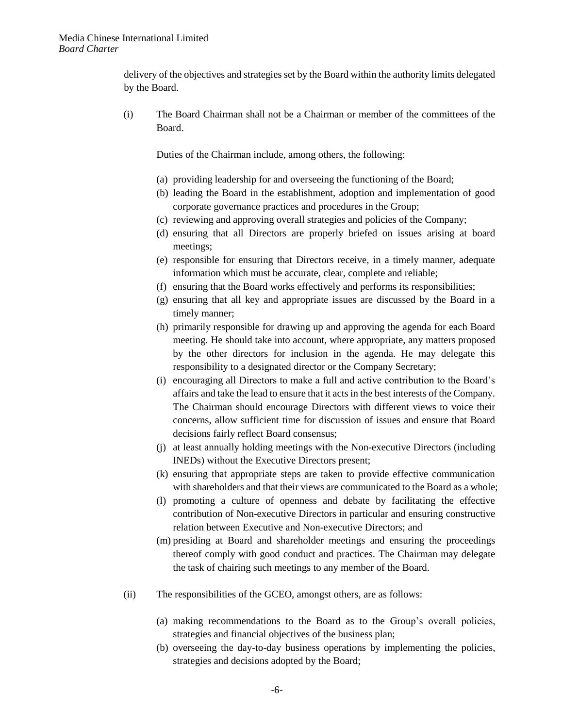delivery of the objectives and strategies set by the Board within the authority limits delegated by the Board.

(i) The Board Chairman shall not be a Chairman or member of the committees of the Board.

Duties of the Chairman include, among others, the following:

- (a) providing leadership for and overseeing the functioning of the Board;
- (b) leading the Board in the establishment, adoption and implementation of good corporate governance practices and procedures in the Group;
- (c) reviewing and approving overall strategies and policies of the Company;
- (d) ensuring that all Directors are properly briefed on issues arising at board meetings;
- (e) responsible for ensuring that Directors receive, in a timely manner, adequate information which must be accurate, clear, complete and reliable;
- (f) ensuring that the Board works effectively and performs its responsibilities;
- (g) ensuring that all key and appropriate issues are discussed by the Board in a timely manner;
- (h) primarily responsible for drawing up and approving the agenda for each Board meeting. He should take into account, where appropriate, any matters proposed by the other directors for inclusion in the agenda. He may delegate this responsibility to a designated director or the Company Secretary;
- (i) encouraging all Directors to make a full and active contribution to the Board's affairs and take the lead to ensure that it acts in the best interests of the Company. The Chairman should encourage Directors with different views to voice their concerns, allow sufficient time for discussion of issues and ensure that Board decisions fairly reflect Board consensus;
- (j) at least annually holding meetings with the Non-executive Directors (including INEDs) without the Executive Directors present;
- (k) ensuring that appropriate steps are taken to provide effective communication with shareholders and that their views are communicated to the Board as a whole;
- (l) promoting a culture of openness and debate by facilitating the effective contribution of Non-executive Directors in particular and ensuring constructive relation between Executive and Non-executive Directors; and
- (m) presiding at Board and shareholder meetings and ensuring the proceedings thereof comply with good conduct and practices. The Chairman may delegate the task of chairing such meetings to any member of the Board.
- (ii) The responsibilities of the GCEO, amongst others, are as follows:
	- (a) making recommendations to the Board as to the Group's overall policies, strategies and financial objectives of the business plan;
	- (b) overseeing the day-to-day business operations by implementing the policies, strategies and decisions adopted by the Board;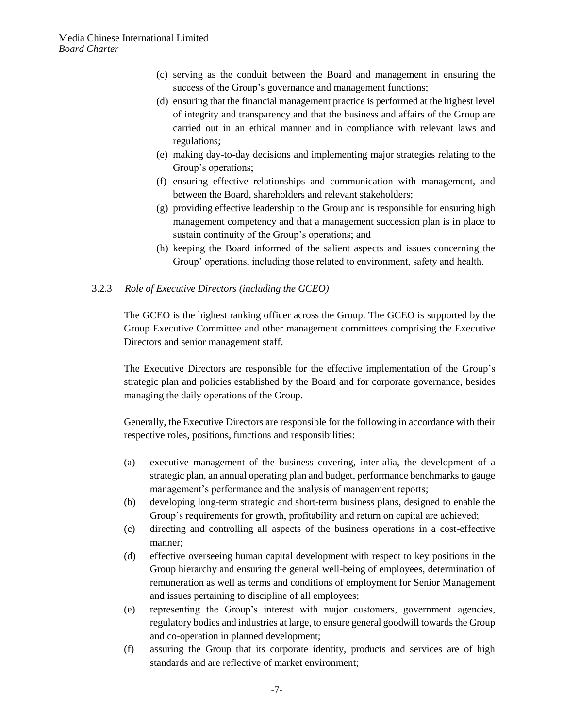- (c) serving as the conduit between the Board and management in ensuring the success of the Group's governance and management functions;
- (d) ensuring that the financial management practice is performed at the highest level of integrity and transparency and that the business and affairs of the Group are carried out in an ethical manner and in compliance with relevant laws and regulations;
- (e) making day-to-day decisions and implementing major strategies relating to the Group's operations;
- (f) ensuring effective relationships and communication with management, and between the Board, shareholders and relevant stakeholders;
- (g) providing effective leadership to the Group and is responsible for ensuring high management competency and that a management succession plan is in place to sustain continuity of the Group's operations; and
- (h) keeping the Board informed of the salient aspects and issues concerning the Group' operations, including those related to environment, safety and health.

#### 3.2.3 *Role of Executive Directors (including the GCEO)*

The GCEO is the highest ranking officer across the Group. The GCEO is supported by the Group Executive Committee and other management committees comprising the Executive Directors and senior management staff.

The Executive Directors are responsible for the effective implementation of the Group's strategic plan and policies established by the Board and for corporate governance, besides managing the daily operations of the Group.

Generally, the Executive Directors are responsible for the following in accordance with their respective roles, positions, functions and responsibilities:

- (a) executive management of the business covering, inter-alia, the development of a strategic plan, an annual operating plan and budget, performance benchmarks to gauge management's performance and the analysis of management reports;
- (b) developing long-term strategic and short-term business plans, designed to enable the Group's requirements for growth, profitability and return on capital are achieved;
- (c) directing and controlling all aspects of the business operations in a cost-effective manner;
- (d) effective overseeing human capital development with respect to key positions in the Group hierarchy and ensuring the general well-being of employees, determination of remuneration as well as terms and conditions of employment for Senior Management and issues pertaining to discipline of all employees;
- (e) representing the Group's interest with major customers, government agencies, regulatory bodies and industries at large, to ensure general goodwill towards the Group and co-operation in planned development;
- (f) assuring the Group that its corporate identity, products and services are of high standards and are reflective of market environment;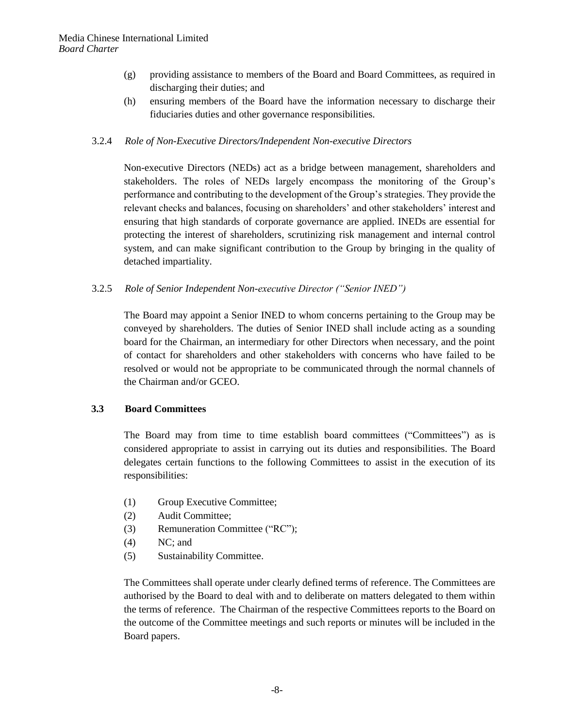- (g) providing assistance to members of the Board and Board Committees, as required in discharging their duties; and
- (h) ensuring members of the Board have the information necessary to discharge their fiduciaries duties and other governance responsibilities.

#### 3.2.4 *Role of Non-Executive Directors/Independent Non-executive Directors*

Non-executive Directors (NEDs) act as a bridge between management, shareholders and stakeholders. The roles of NEDs largely encompass the monitoring of the Group's performance and contributing to the development of the Group's strategies. They provide the relevant checks and balances, focusing on shareholders' and other stakeholders' interest and ensuring that high standards of corporate governance are applied. INEDs are essential for protecting the interest of shareholders, scrutinizing risk management and internal control system, and can make significant contribution to the Group by bringing in the quality of detached impartiality.

#### 3.2.5 *Role of Senior Independent Non-executive Director ("Senior INED")*

The Board may appoint a Senior INED to whom concerns pertaining to the Group may be conveyed by shareholders. The duties of Senior INED shall include acting as a sounding board for the Chairman, an intermediary for other Directors when necessary, and the point of contact for shareholders and other stakeholders with concerns who have failed to be resolved or would not be appropriate to be communicated through the normal channels of the Chairman and/or GCEO.

#### **3.3 Board Committees**

The Board may from time to time establish board committees ("Committees") as is considered appropriate to assist in carrying out its duties and responsibilities. The Board delegates certain functions to the following Committees to assist in the execution of its responsibilities:

- (1) Group Executive Committee;
- (2) Audit Committee;
- (3) Remuneration Committee ("RC");
- (4) NC; and
- (5) Sustainability Committee.

The Committees shall operate under clearly defined terms of reference. The Committees are authorised by the Board to deal with and to deliberate on matters delegated to them within the terms of reference. The Chairman of the respective Committees reports to the Board on the outcome of the Committee meetings and such reports or minutes will be included in the Board papers.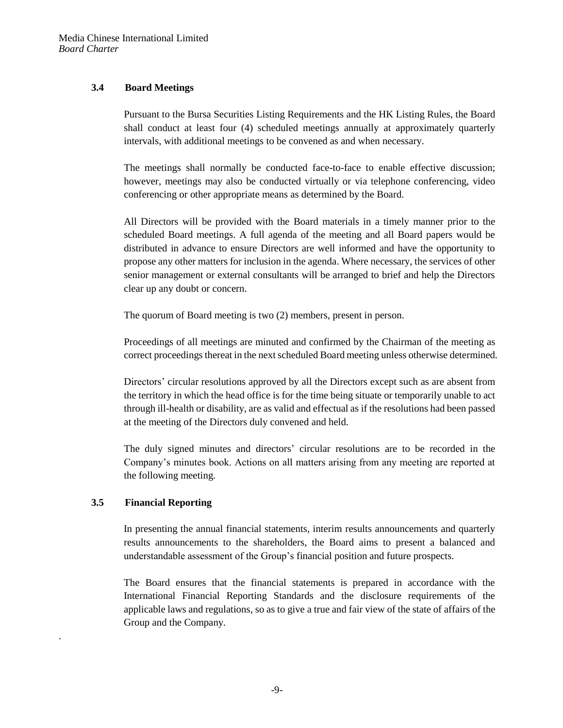# **3.4 Board Meetings**

Pursuant to the Bursa Securities Listing Requirements and the HK Listing Rules, the Board shall conduct at least four (4) scheduled meetings annually at approximately quarterly intervals, with additional meetings to be convened as and when necessary.

The meetings shall normally be conducted face-to-face to enable effective discussion; however, meetings may also be conducted virtually or via telephone conferencing, video conferencing or other appropriate means as determined by the Board.

All Directors will be provided with the Board materials in a timely manner prior to the scheduled Board meetings. A full agenda of the meeting and all Board papers would be distributed in advance to ensure Directors are well informed and have the opportunity to propose any other matters for inclusion in the agenda. Where necessary, the services of other senior management or external consultants will be arranged to brief and help the Directors clear up any doubt or concern.

The quorum of Board meeting is two (2) members, present in person.

Proceedings of all meetings are minuted and confirmed by the Chairman of the meeting as correct proceedings thereat in the next scheduled Board meeting unless otherwise determined.

Directors' circular resolutions approved by all the Directors except such as are absent from the territory in which the head office is for the time being situate or temporarily unable to act through ill-health or disability, are as valid and effectual as if the resolutions had been passed at the meeting of the Directors duly convened and held.

The duly signed minutes and directors' circular resolutions are to be recorded in the Company's minutes book. Actions on all matters arising from any meeting are reported at the following meeting.

# **3.5 Financial Reporting**

.

In presenting the annual financial statements, interim results announcements and quarterly results announcements to the shareholders, the Board aims to present a balanced and understandable assessment of the Group's financial position and future prospects.

The Board ensures that the financial statements is prepared in accordance with the International Financial Reporting Standards and the disclosure requirements of the applicable laws and regulations, so as to give a true and fair view of the state of affairs of the Group and the Company*.*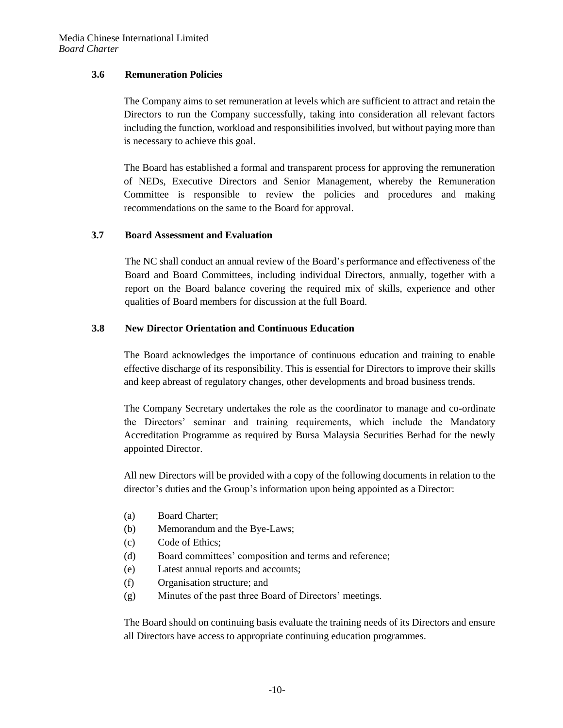#### **3.6 Remuneration Policies**

The Company aims to set remuneration at levels which are sufficient to attract and retain the Directors to run the Company successfully, taking into consideration all relevant factors including the function, workload and responsibilities involved, but without paying more than is necessary to achieve this goal.

The Board has established a formal and transparent process for approving the remuneration of NEDs, Executive Directors and Senior Management, whereby the Remuneration Committee is responsible to review the policies and procedures and making recommendations on the same to the Board for approval.

#### **3.7 Board Assessment and Evaluation**

The NC shall conduct an annual review of the Board's performance and effectiveness of the Board and Board Committees, including individual Directors, annually, together with a report on the Board balance covering the required mix of skills, experience and other qualities of Board members for discussion at the full Board.

# **3.8 New Director Orientation and Continuous Education**

The Board acknowledges the importance of continuous education and training to enable effective discharge of its responsibility. This is essential for Directors to improve their skills and keep abreast of regulatory changes, other developments and broad business trends.

The Company Secretary undertakes the role as the coordinator to manage and co-ordinate the Directors' seminar and training requirements, which include the Mandatory Accreditation Programme as required by Bursa Malaysia Securities Berhad for the newly appointed Director.

All new Directors will be provided with a copy of the following documents in relation to the director's duties and the Group's information upon being appointed as a Director:

- (a) Board Charter;
- (b) Memorandum and the Bye-Laws;
- (c) Code of Ethics;
- (d) Board committees' composition and terms and reference;
- (e) Latest annual reports and accounts;
- (f) Organisation structure; and
- (g) Minutes of the past three Board of Directors' meetings.

The Board should on continuing basis evaluate the training needs of its Directors and ensure all Directors have access to appropriate continuing education programmes.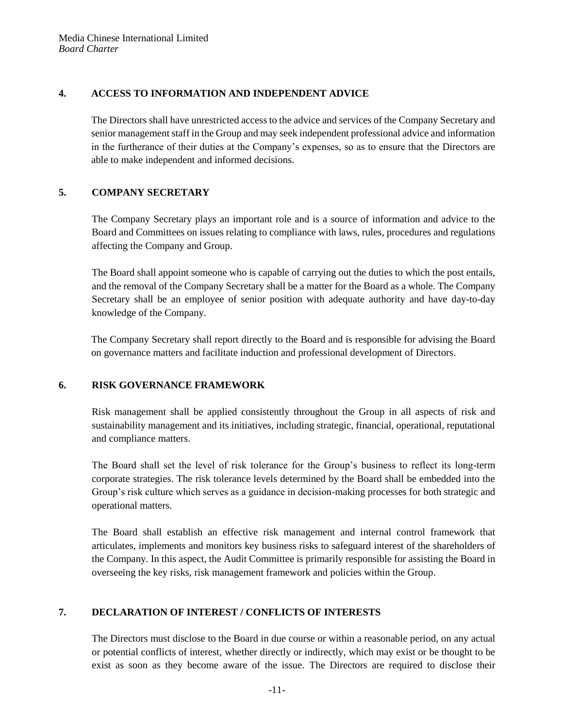### **4. ACCESS TO INFORMATION AND INDEPENDENT ADVICE**

The Directors shall have unrestricted access to the advice and services of the Company Secretary and senior management staff in the Group and may seek independent professional advice and information in the furtherance of their duties at the Company's expenses, so as to ensure that the Directors are able to make independent and informed decisions.

# **5. COMPANY SECRETARY**

The Company Secretary plays an important role and is a source of information and advice to the Board and Committees on issues relating to compliance with laws, rules, procedures and regulations affecting the Company and Group.

The Board shall appoint someone who is capable of carrying out the duties to which the post entails, and the removal of the Company Secretary shall be a matter for the Board as a whole. The Company Secretary shall be an employee of senior position with adequate authority and have day-to-day knowledge of the Company.

The Company Secretary shall report directly to the Board and is responsible for advising the Board on governance matters and facilitate induction and professional development of Directors.

# **6. RISK GOVERNANCE FRAMEWORK**

Risk management shall be applied consistently throughout the Group in all aspects of risk and sustainability management and its initiatives, including strategic, financial, operational, reputational and compliance matters.

The Board shall set the level of risk tolerance for the Group's business to reflect its long-term corporate strategies. The risk tolerance levels determined by the Board shall be embedded into the Group's risk culture which serves as a guidance in decision-making processes for both strategic and operational matters.

The Board shall establish an effective risk management and internal control framework that articulates, implements and monitors key business risks to safeguard interest of the shareholders of the Company. In this aspect, the Audit Committee is primarily responsible for assisting the Board in overseeing the key risks, risk management framework and policies within the Group.

# **7. DECLARATION OF INTEREST / CONFLICTS OF INTERESTS**

The Directors must disclose to the Board in due course or within a reasonable period, on any actual or potential conflicts of interest, whether directly or indirectly, which may exist or be thought to be exist as soon as they become aware of the issue. The Directors are required to disclose their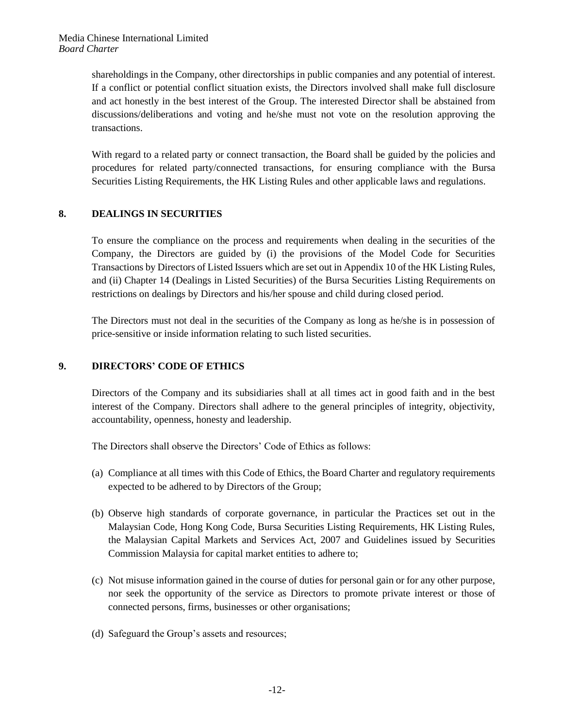shareholdings in the Company, other directorships in public companies and any potential of interest. If a conflict or potential conflict situation exists, the Directors involved shall make full disclosure and act honestly in the best interest of the Group. The interested Director shall be abstained from discussions/deliberations and voting and he/she must not vote on the resolution approving the transactions.

With regard to a related party or connect transaction, the Board shall be guided by the policies and procedures for related party/connected transactions, for ensuring compliance with the Bursa Securities Listing Requirements, the HK Listing Rules and other applicable laws and regulations.

# **8. DEALINGS IN SECURITIES**

To ensure the compliance on the process and requirements when dealing in the securities of the Company, the Directors are guided by (i) the provisions of the Model Code for Securities Transactions by Directors of Listed Issuers which are set out in Appendix 10 of the HK Listing Rules, and (ii) Chapter 14 (Dealings in Listed Securities) of the Bursa Securities Listing Requirements on restrictions on dealings by Directors and his/her spouse and child during closed period.

The Directors must not deal in the securities of the Company as long as he/she is in possession of price-sensitive or inside information relating to such listed securities.

#### **9. DIRECTORS' CODE OF ETHICS**

Directors of the Company and its subsidiaries shall at all times act in good faith and in the best interest of the Company. Directors shall adhere to the general principles of integrity, objectivity, accountability, openness, honesty and leadership.

The Directors shall observe the Directors' Code of Ethics as follows:

- (a) Compliance at all times with this Code of Ethics, the Board Charter and regulatory requirements expected to be adhered to by Directors of the Group;
- (b) Observe high standards of corporate governance, in particular the Practices set out in the Malaysian Code, Hong Kong Code, Bursa Securities Listing Requirements, HK Listing Rules, the Malaysian Capital Markets and Services Act, 2007 and Guidelines issued by Securities Commission Malaysia for capital market entities to adhere to;
- (c) Not misuse information gained in the course of duties for personal gain or for any other purpose, nor seek the opportunity of the service as Directors to promote private interest or those of connected persons, firms, businesses or other organisations;
- (d) Safeguard the Group's assets and resources;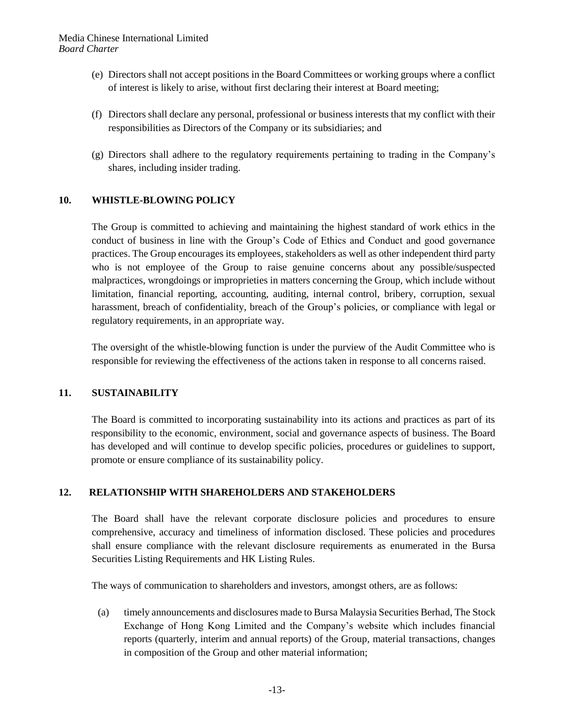- (e) Directors shall not accept positions in the Board Committees or working groups where a conflict of interest is likely to arise, without first declaring their interest at Board meeting;
- (f) Directors shall declare any personal, professional or business interests that my conflict with their responsibilities as Directors of the Company or its subsidiaries; and
- (g) Directors shall adhere to the regulatory requirements pertaining to trading in the Company's shares, including insider trading.

#### **10. WHISTLE-BLOWING POLICY**

The Group is committed to achieving and maintaining the highest standard of work ethics in the conduct of business in line with the Group's Code of Ethics and Conduct and good governance practices. The Group encourages its employees, stakeholders as well as other independent third party who is not employee of the Group to raise genuine concerns about any possible/suspected malpractices, wrongdoings or improprieties in matters concerning the Group, which include without limitation, financial reporting, accounting, auditing, internal control, bribery, corruption, sexual harassment, breach of confidentiality, breach of the Group's policies, or compliance with legal or regulatory requirements, in an appropriate way.

The oversight of the whistle-blowing function is under the purview of the Audit Committee who is responsible for reviewing the effectiveness of the actions taken in response to all concerns raised.

#### **11. SUSTAINABILITY**

The Board is committed to incorporating sustainability into its actions and practices as part of its responsibility to the economic, environment, social and governance aspects of business. The Board has developed and will continue to develop specific policies, procedures or guidelines to support, promote or ensure compliance of its sustainability policy.

#### **12. RELATIONSHIP WITH SHAREHOLDERS AND STAKEHOLDERS**

The Board shall have the relevant corporate disclosure policies and procedures to ensure comprehensive, accuracy and timeliness of information disclosed. These policies and procedures shall ensure compliance with the relevant disclosure requirements as enumerated in the Bursa Securities Listing Requirements and HK Listing Rules.

The ways of communication to shareholders and investors, amongst others, are as follows:

(a) timely announcements and disclosures made to Bursa Malaysia Securities Berhad, The Stock Exchange of Hong Kong Limited and the Company's website which includes financial reports (quarterly, interim and annual reports) of the Group, material transactions, changes in composition of the Group and other material information;